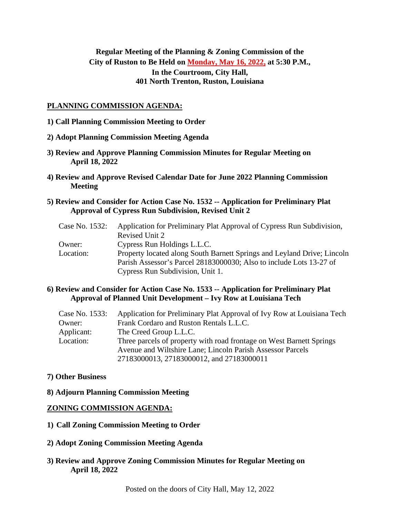# **Regular Meeting of the Planning & Zoning Commission of the City of Ruston to Be Held on Monday, May 16, 2022, at 5:30 P.M., In the Courtroom, City Hall, 401 North Trenton, Ruston, Louisiana**

#### **PLANNING COMMISSION AGENDA:**

- **1) Call Planning Commission Meeting to Order**
- **2) Adopt Planning Commission Meeting Agenda**
- **3) Review and Approve Planning Commission Minutes for Regular Meeting on April 18, 2022**
- **4) Review and Approve Revised Calendar Date for June 2022 Planning Commission Meeting**
- **5) Review and Consider for Action Case No. 1532 -- Application for Preliminary Plat Approval of Cypress Run Subdivision, Revised Unit 2**

| Case No. 1532: | Application for Preliminary Plat Approval of Cypress Run Subdivision,   |
|----------------|-------------------------------------------------------------------------|
|                | Revised Unit 2                                                          |
| Owner:         | Cypress Run Holdings L.L.C.                                             |
| Location:      | Property located along South Barnett Springs and Leyland Drive; Lincoln |
|                | Parish Assessor's Parcel 28183000030; Also to include Lots 13-27 of     |
|                | Cypress Run Subdivision, Unit 1.                                        |

### **6) Review and Consider for Action Case No. 1533 -- Application for Preliminary Plat Approval of Planned Unit Development – Ivy Row at Louisiana Tech**

| Case No. 1533: | Application for Preliminary Plat Approval of Ivy Row at Louisiana Tech |
|----------------|------------------------------------------------------------------------|
| Owner:         | Frank Cordaro and Ruston Rentals L.L.C.                                |
| Applicant:     | The Creed Group L.L.C.                                                 |
| Location:      | Three parcels of property with road frontage on West Barnett Springs   |
|                | Avenue and Wiltshire Lane; Lincoln Parish Assessor Parcels             |
|                | 27183000013, 27183000012, and 27183000011                              |

### **7) Other Business**

**8) Adjourn Planning Commission Meeting**

### **ZONING COMMISSION AGENDA:**

- **1) Call Zoning Commission Meeting to Order**
- **2) Adopt Zoning Commission Meeting Agenda**
- **3) Review and Approve Zoning Commission Minutes for Regular Meeting on April 18, 2022**